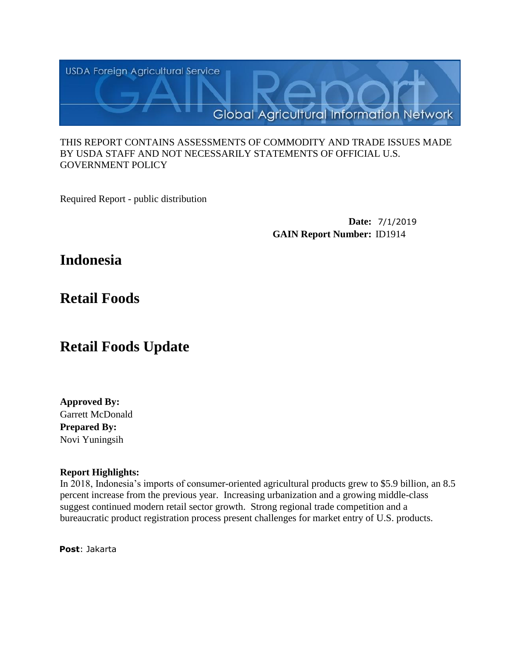

### THIS REPORT CONTAINS ASSESSMENTS OF COMMODITY AND TRADE ISSUES MADE BY USDA STAFF AND NOT NECESSARILY STATEMENTS OF OFFICIAL U.S. GOVERNMENT POLICY

Required Report - public distribution

**Date:** 7/1/2019 **GAIN Report Number:** ID1914

# **Indonesia**

# **Retail Foods**

# **Retail Foods Update**

**Approved By:** Garrett McDonald **Prepared By:** Novi Yuningsih

## **Report Highlights:**

In 2018, Indonesia's imports of consumer-oriented agricultural products grew to \$5.9 billion, an 8.5 percent increase from the previous year. Increasing urbanization and a growing middle-class suggest continued modern retail sector growth. Strong regional trade competition and a bureaucratic product registration process present challenges for market entry of U.S. products.

**Post**: Jakarta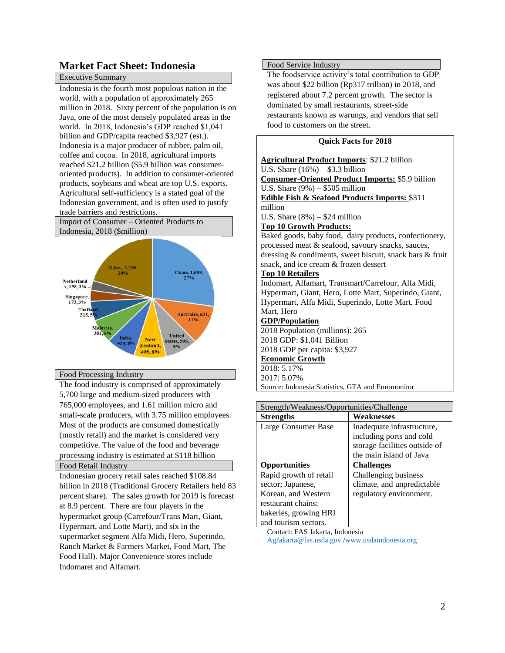# **Market Fact Sheet: Indonesia**

#### Executive Summary

Indonesia is the fourth most populous nation in the world, with a population of approximately 265 million in 2018. Sixty percent of the population is on Java, one of the most densely populated areas in the world. In 2018, Indonesia's GDP reached \$1,041 billion and GDP/capita reached \$3,927 (est.). Indonesia is a major producer of rubber, palm oil, coffee and cocoa. In 2018, agricultural imports reached \$21.2 billion (\$5.9 billion was consumeroriented products). In addition to consumer-oriented products, soybeans and wheat are top U.S. exports. Agricultural self-sufficiency is a stated goal of the Indonesian government, and is often used to justify trade barriers and restrictions.





#### Food Processing Industry

The food industry is comprised of approximately 5,700 large and medium-sized producers with 765,000 employees, and 1.61 million micro and small-scale producers, with 3.75 million employees. Most of the products are consumed domestically (mostly retail) and the market is considered very competitive. The value of the food and beverage processing industry is estimated at \$118 billion

#### Food Retail Industry

Indonesian grocery retail sales reached \$108.84 billion in 2018 (Traditional Grocery Retailers held 83 percent share). The sales growth for 2019 is forecast at 8.9 percent. There are four players in the hypermarket group (Carrefour/Trans Mart, Giant, Hypermart, and Lotte Mart), and six in the supermarket segment Alfa Midi, Hero, Superindo, Ranch Market & Farmers Market, Food Mart, The Food Hall). Major Convenience stores include Indomaret and Alfamart.

#### Food Service Industry

The foodservice activity's total contribution to GDP was about \$22 billion (Rp317 trillion) in 2018, and registered about 7.2 percent growth. The sector is dominated by small restaurants, street-side restaurants known as warungs, and vendors that sell food to customers on the street.

#### **Quick Facts for 2018**

| <b>Agricultural Product Imports: \$21.2 billion</b>      |
|----------------------------------------------------------|
| U.S. Share $(16\%) - $3.3$ billion                       |
| <b>Consumer-Oriented Product Imports: \$5.9 billion</b>  |
| U.S. Share $(9\%) - $505$ million                        |
| <b>Edible Fish &amp; Seafood Products Imports: \$311</b> |
| million                                                  |
| U.S. Share $(8\%) - $24$ million                         |
| <b>Top 10 Growth Products:</b>                           |
| Baked goods, baby food, dairy products, confectionery,   |
| processed meat & seafood, savoury snacks, sauces,        |
| dressing & condiments, sweet biscuit, snack bars & fruit |
| snack, and ice cream & frozen dessert                    |
| <b>Top 10 Retailers</b>                                  |
| Indomart, Alfamart, Transmart/Carrefour, Alfa Midi,      |
| Hypermart, Giant, Hero, Lotte Mart, Superindo, Giant,    |
| Hypermart, Alfa Midi, Superindo, Lotte Mart, Food        |
| Mart, Hero                                               |
| <b>GDP/Population</b>                                    |
| 2018 Population (millions): 265                          |
| 2018 GDP: \$1,041 Billion                                |
| 2018 GDP per capita: \$3,927                             |
| <b>Economic Growth</b>                                   |
| 2018: 5.17%                                              |
| 2017: 5.07%                                              |
| Source: Indonesia Statistics, GTA and Euromonitor        |
|                                                          |
| Strenoth/Weakness/Onnortunities/Challenge                |

| Strength/Weakness/Opportunities/Challenge |                               |  |  |
|-------------------------------------------|-------------------------------|--|--|
| <b>Strengths</b>                          | Weaknesses                    |  |  |
| Large Consumer Base                       | Inadequate infrastructure,    |  |  |
|                                           | including ports and cold      |  |  |
|                                           | storage facilities outside of |  |  |
|                                           | the main island of Java       |  |  |
| <b>Opportunities</b>                      | <b>Challenges</b>             |  |  |
| Rapid growth of retail                    | Challenging business          |  |  |
| sector; Japanese,                         | climate, and unpredictable    |  |  |
| Korean, and Western                       | regulatory environment.       |  |  |
| restaurant chains;                        |                               |  |  |
| bakeries, growing HRI                     |                               |  |  |
| and tourism sectors.                      |                               |  |  |

Contact: FAS Jakarta, Indonesia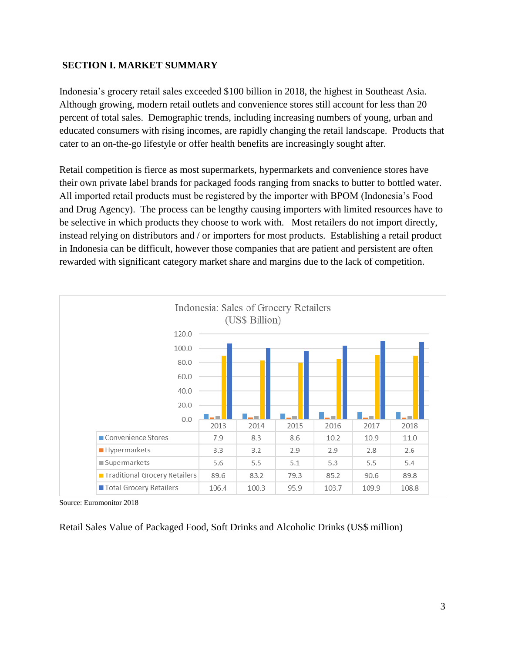## **SECTION I. MARKET SUMMARY**

Indonesia's grocery retail sales exceeded \$100 billion in 2018, the highest in Southeast Asia. Although growing, modern retail outlets and convenience stores still account for less than 20 percent of total sales. Demographic trends, including increasing numbers of young, urban and educated consumers with rising incomes, are rapidly changing the retail landscape. Products that cater to an on-the-go lifestyle or offer health benefits are increasingly sought after.

Retail competition is fierce as most supermarkets, hypermarkets and convenience stores have their own private label brands for packaged foods ranging from snacks to butter to bottled water. All imported retail products must be registered by the importer with BPOM (Indonesia's Food and Drug Agency). The process can be lengthy causing importers with limited resources have to be selective in which products they choose to work with. Most retailers do not import directly, instead relying on distributors and / or importers for most products. Establishing a retail product in Indonesia can be difficult, however those companies that are patient and persistent are often rewarded with significant category market share and margins due to the lack of competition.



Source: Euromonitor 2018

Retail Sales Value of Packaged Food, Soft Drinks and Alcoholic Drinks (US\$ million)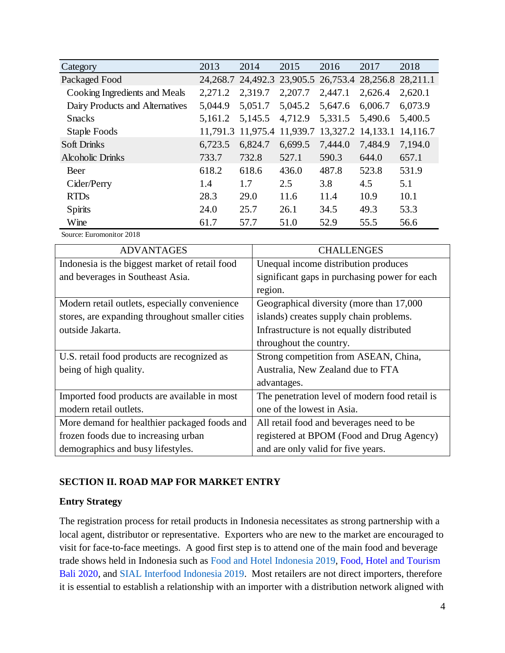| Category                        | 2013    | 2014              | 2015                                                        | 2016    | 2017              | 2018     |
|---------------------------------|---------|-------------------|-------------------------------------------------------------|---------|-------------------|----------|
| Packaged Food                   |         |                   | 24, 268.7 24, 492.3 23, 905.5 26, 753.4 28, 256.8 28, 211.1 |         |                   |          |
| Cooking Ingredients and Meals   | 2,271.2 | 2,319.7           | 2,207.7                                                     | 2,447.1 | 2,626.4           | 2,620.1  |
| Dairy Products and Alternatives | 5,044.9 | 5,051.7           | 5,045.2                                                     | 5,647.6 | 6,006.7           | 6,073.9  |
| <b>Snacks</b>                   | 5,161.2 | 5,145.5           | 4,712.9                                                     | 5,331.5 | 5,490.6           | 5,400.5  |
| Staple Foods                    |         | 11,791.3 11,975.4 | 11,939.7                                                    |         | 13,327.2 14,133.1 | 14,116.7 |
| <b>Soft Drinks</b>              | 6,723.5 | 6,824.7           | 6,699.5                                                     | 7,444.0 | 7,484.9           | 7,194.0  |
| <b>Alcoholic Drinks</b>         | 733.7   | 732.8             | 527.1                                                       | 590.3   | 644.0             | 657.1    |
| Beer                            | 618.2   | 618.6             | 436.0                                                       | 487.8   | 523.8             | 531.9    |
| Cider/Perry                     | 1.4     | 1.7               | 2.5                                                         | 3.8     | 4.5               | 5.1      |
| <b>RTDs</b>                     | 28.3    | 29.0              | 11.6                                                        | 11.4    | 10.9              | 10.1     |
| <b>Spirits</b>                  | 24.0    | 25.7              | 26.1                                                        | 34.5    | 49.3              | 53.3     |
| Wine                            | 61.7    | 57.7              | 51.0                                                        | 52.9    | 55.5              | 56.6     |

Source: Euromonitor 2018

| <b>ADVANTAGES</b>                               | <b>CHALLENGES</b>                              |
|-------------------------------------------------|------------------------------------------------|
| Indonesia is the biggest market of retail food  | Unequal income distribution produces           |
| and beverages in Southeast Asia.                | significant gaps in purchasing power for each  |
|                                                 | region.                                        |
| Modern retail outlets, especially convenience   | Geographical diversity (more than 17,000)      |
| stores, are expanding throughout smaller cities | islands) creates supply chain problems.        |
| outside Jakarta.                                | Infrastructure is not equally distributed      |
|                                                 | throughout the country.                        |
| U.S. retail food products are recognized as     | Strong competition from ASEAN, China,          |
| being of high quality.                          | Australia, New Zealand due to FTA              |
|                                                 | advantages.                                    |
| Imported food products are available in most    | The penetration level of modern food retail is |
| modern retail outlets.                          | one of the lowest in Asia.                     |
| More demand for healthier packaged foods and    | All retail food and beverages need to be       |
| frozen foods due to increasing urban            | registered at BPOM (Food and Drug Agency)      |
| demographics and busy lifestyles.               | and are only valid for five years.             |

# **SECTION II. ROAD MAP FOR MARKET ENTRY**

# **Entry Strategy**

The registration process for retail products in Indonesia necessitates as strong partnership with a local agent, distributor or representative. Exporters who are new to the market are encouraged to visit for face-to-face meetings. A good first step is to attend one of the main food and beverage trade shows held in Indonesia such as [Food and Hotel Indonesia 2019,](https://www.foodhotelindonesia.com/) [Food, Hotel and Tourism](https://fhtbali.com/)  [Bali 2020,](https://fhtbali.com/) and [SIAL Interfood Indonesia 2019.](https://sialinterfood.com/) Most retailers are not direct importers, therefore it is essential to establish a relationship with an importer with a distribution network aligned with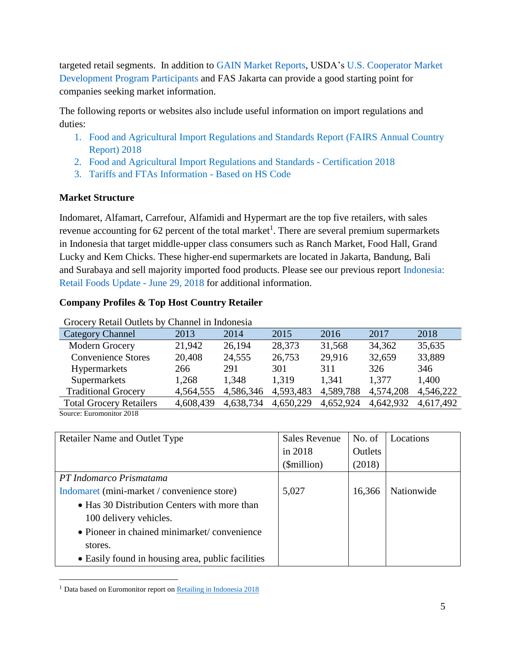targeted retail segments. In addition to [GAIN Market Reports,](https://gain.fas.usda.gov/Lists/Advanced%20Search/AllItems.aspx) USDA's [U.S. Cooperator Market](https://apps.fas.usda.gov/pcd/PartnersSearch.aspx)  [Development Program Participants a](https://apps.fas.usda.gov/pcd/PartnersSearch.aspx)nd FAS Jakarta can provide a good starting point for companies seeking market information.

The following reports or websites also include useful information on import regulations and duties:

- 1. [Food and Agricultural Import Regulations and Standards Report \(FAIRS Annual Country](https://gain.fas.usda.gov/Recent%20GAIN%20Publications/Food%20and%20Agricultural%20Import%20Regulations%20and%20Standards%20Report_Jakarta_Indonesia_3-18-2019.pdf)  [Report\) 2018](https://gain.fas.usda.gov/Recent%20GAIN%20Publications/Food%20and%20Agricultural%20Import%20Regulations%20and%20Standards%20Report_Jakarta_Indonesia_3-18-2019.pdf)
- 2. [Food and Agricultural Import Regulations and Standards -](https://gain.fas.usda.gov/Recent%20GAIN%20Publications/Food%20and%20Agricultural%20Import%20Regulations%20and%20Standards%20Report_Jakarta_Indonesia_3-19-2019.pdf) Certification 2018
- 3. [Tariffs and FTAs Information -](https://eservice.insw.go.id/) Based on HS Code

# **Market Structure**

Indomaret, Alfamart, Carrefour, Alfamidi and Hypermart are the top five retailers, with sales revenue accounting for 62 percent of the total market<sup>1</sup>. There are several premium supermarkets in Indonesia that target middle-upper class consumers such as Ranch Market, Food Hall, Grand Lucky and Kem Chicks. These higher-end supermarkets are located in Jakarta, Bandung, Bali and Surabaya and sell majority imported food products. Please see our previous report [Indonesia:](https://www.fas.usda.gov/data/indonesia-retail-foods-update)  [Retail Foods Update -](https://www.fas.usda.gov/data/indonesia-retail-foods-update) June 29, 2018 for additional information.

# **Company Profiles & Top Host Country Retailer**

| OTOCCI I INCRETE O RETORS O I CHRITICI III INGONOSIA |           |           |           |           |           |           |
|------------------------------------------------------|-----------|-----------|-----------|-----------|-----------|-----------|
| Category Channel                                     | 2013      | 2014      | 2015      | 2016      | 2017      | 2018      |
| Modern Grocery                                       | 21,942    | 26,194    | 28,373    | 31,568    | 34,362    | 35,635    |
| <b>Convenience Stores</b>                            | 20,408    | 24,555    | 26,753    | 29,916    | 32,659    | 33,889    |
| Hypermarkets                                         | 266       | 291       | 301       | 311       | 326       | 346       |
| Supermarkets                                         | 1,268     | 1,348     | 1.319     | 1,341     | 1.377     | 1,400     |
| <b>Traditional Grocery</b>                           | 4,564,555 | 4,586,346 | 4,593,483 | 4,589,788 | 4,574,208 | 4,546,222 |
| <b>Total Grocery Retailers</b>                       | 4,608,439 | 4,638,734 | 4,650,229 | 4,652,924 | 4,642,932 | 4,617,492 |
|                                                      |           |           |           |           |           |           |

Grocery Retail Outlets by Channel in Indonesia

Source: Euromonitor 2018

 $\overline{a}$ 

| <b>Retailer Name and Outlet Type</b>              | <b>Sales Revenue</b> | No. of  | Locations  |
|---------------------------------------------------|----------------------|---------|------------|
|                                                   | in 2018              | Outlets |            |
|                                                   | (\$million)          | (2018)  |            |
| PT Indomarco Prismatama                           |                      |         |            |
| Indomaret (mini-market / convenience store)       | 5,027                | 16,366  | Nationwide |
| • Has 30 Distribution Centers with more than      |                      |         |            |
| 100 delivery vehicles.                            |                      |         |            |
| • Pioneer in chained minimarket/convenience       |                      |         |            |
| stores.                                           |                      |         |            |
| • Easily found in housing area, public facilities |                      |         |            |

<sup>&</sup>lt;sup>1</sup> Data based on Euromonitor report o[n Retailing in Indonesia 2018](https://www.portal.euromonitor.com/portal/Analysis/Tab)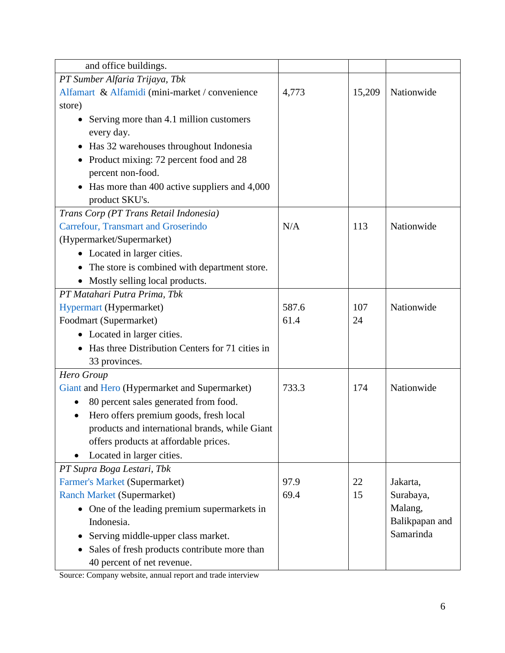| and office buildings.                                     |       |        |                |
|-----------------------------------------------------------|-------|--------|----------------|
| PT Sumber Alfaria Trijaya, Tbk                            |       |        |                |
| Alfamart & Alfamidi (mini-market / convenience            | 4,773 | 15,209 | Nationwide     |
| store)                                                    |       |        |                |
| Serving more than 4.1 million customers                   |       |        |                |
| every day.                                                |       |        |                |
| Has 32 warehouses throughout Indonesia<br>$\bullet$       |       |        |                |
| Product mixing: 72 percent food and 28                    |       |        |                |
| percent non-food.                                         |       |        |                |
| Has more than 400 active suppliers and 4,000<br>$\bullet$ |       |        |                |
| product SKU's.                                            |       |        |                |
| Trans Corp (PT Trans Retail Indonesia)                    |       |        |                |
| <b>Carrefour, Transmart and Groserindo</b>                | N/A   | 113    | Nationwide     |
| (Hypermarket/Supermarket)                                 |       |        |                |
| • Located in larger cities.                               |       |        |                |
| The store is combined with department store.<br>$\bullet$ |       |        |                |
| Mostly selling local products.                            |       |        |                |
| PT Matahari Putra Prima, Tbk                              |       |        |                |
| Hypermart (Hypermarket)                                   | 587.6 | 107    | Nationwide     |
| Foodmart (Supermarket)                                    | 61.4  | 24     |                |
| • Located in larger cities.                               |       |        |                |
| Has three Distribution Centers for 71 cities in           |       |        |                |
| 33 provinces.                                             |       |        |                |
| Hero Group                                                |       |        |                |
| Giant and Hero (Hypermarket and Supermarket)              | 733.3 | 174    | Nationwide     |
| 80 percent sales generated from food.<br>٠                |       |        |                |
| Hero offers premium goods, fresh local                    |       |        |                |
| products and international brands, while Giant            |       |        |                |
| offers products at affordable prices.                     |       |        |                |
| Located in larger cities.                                 |       |        |                |
| PT Supra Boga Lestari, Tbk                                |       |        |                |
| Farmer's Market (Supermarket)                             | 97.9  | 22     | Jakarta,       |
| <b>Ranch Market (Supermarket)</b>                         | 69.4  | 15     | Surabaya,      |
| • One of the leading premium supermarkets in              |       |        | Malang,        |
| Indonesia.                                                |       |        | Balikpapan and |
| Serving middle-upper class market.                        |       |        | Samarinda      |
| Sales of fresh products contribute more than              |       |        |                |
| 40 percent of net revenue.                                |       |        |                |

Source: Company website, annual report and trade interview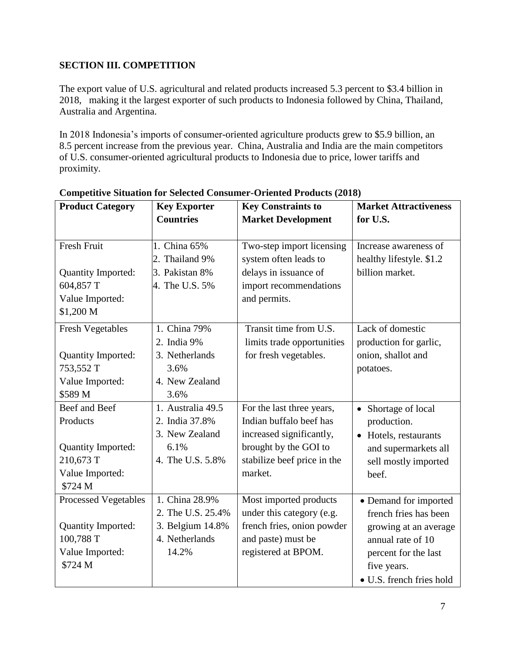# **SECTION III. COMPETITION**

The export value of U.S. agricultural and related products increased 5.3 percent to \$3.4 billion in 2018, making it the largest exporter of such products to Indonesia followed by China, Thailand, Australia and Argentina.

In 2018 Indonesia's imports of consumer-oriented agriculture products grew to \$5.9 billion, an 8.5 percent increase from the previous year. China, Australia and India are the main competitors of U.S. consumer-oriented agricultural products to Indonesia due to price, lower tariffs and proximity.

| <b>Product Category</b>                                                                             | <b>Key Exporter</b><br><b>Countries</b>                                            | <b>Key Constraints to</b><br><b>Market Development</b>                                                                                              | <b>Market Attractiveness</b><br>for U.S.                                                                                                                        |
|-----------------------------------------------------------------------------------------------------|------------------------------------------------------------------------------------|-----------------------------------------------------------------------------------------------------------------------------------------------------|-----------------------------------------------------------------------------------------------------------------------------------------------------------------|
| <b>Fresh Fruit</b><br><b>Quantity Imported:</b><br>604,857 T<br>Value Imported:<br>\$1,200 M        | 1. China 65%<br>2. Thailand 9%<br>3. Pakistan 8%<br>4. The U.S. 5%                 | Two-step import licensing<br>system often leads to<br>delays in issuance of<br>import recommendations<br>and permits.                               | Increase awareness of<br>healthy lifestyle. \$1.2<br>billion market.                                                                                            |
| <b>Fresh Vegetables</b><br>Quantity Imported:<br>753,552 T<br>Value Imported:<br>\$589 M            | 1. China 79%<br>2. India 9%<br>3. Netherlands<br>3.6%<br>4. New Zealand<br>3.6%    | Transit time from U.S.<br>limits trade opportunities<br>for fresh vegetables.                                                                       | Lack of domestic<br>production for garlic,<br>onion, shallot and<br>potatoes.                                                                                   |
| Beef and Beef<br>Products<br><b>Quantity Imported:</b><br>210,673 T<br>Value Imported:<br>\$724 M   | 1. Australia 49.5<br>2. India 37.8%<br>3. New Zealand<br>6.1%<br>4. The U.S. 5.8%  | For the last three years,<br>Indian buffalo beef has<br>increased significantly,<br>brought by the GOI to<br>stabilize beef price in the<br>market. | Shortage of local<br>$\bullet$<br>production.<br>• Hotels, restaurants<br>and supermarkets all<br>sell mostly imported<br>beef.                                 |
| <b>Processed Vegetables</b><br><b>Quantity Imported:</b><br>100,788 T<br>Value Imported:<br>\$724 M | 1. China 28.9%<br>2. The U.S. 25.4%<br>3. Belgium 14.8%<br>4. Netherlands<br>14.2% | Most imported products<br>under this category (e.g.<br>french fries, onion powder<br>and paste) must be<br>registered at BPOM.                      | • Demand for imported<br>french fries has been<br>growing at an average<br>annual rate of 10<br>percent for the last<br>five years.<br>• U.S. french fries hold |

**Competitive Situation for Selected Consumer-Oriented Products (2018)**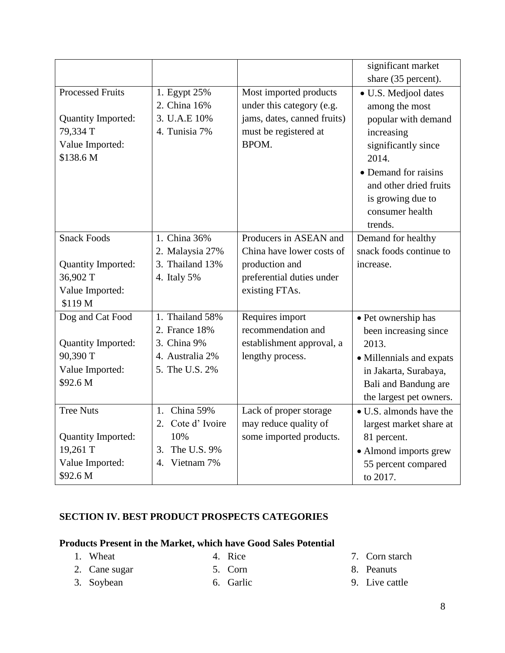|                                                                                           |                                                               |                                                                                                                      | significant market                                                                                                                                                                                               |
|-------------------------------------------------------------------------------------------|---------------------------------------------------------------|----------------------------------------------------------------------------------------------------------------------|------------------------------------------------------------------------------------------------------------------------------------------------------------------------------------------------------------------|
|                                                                                           |                                                               |                                                                                                                      | share (35 percent).                                                                                                                                                                                              |
| <b>Processed Fruits</b><br>Quantity Imported:<br>79,334 T<br>Value Imported:<br>\$138.6 M | 1. Egypt 25%<br>2. China 16%<br>3. U.A.E 10%<br>4. Tunisia 7% | Most imported products<br>under this category (e.g.<br>jams, dates, canned fruits)<br>must be registered at<br>BPOM. | · U.S. Medjool dates<br>among the most<br>popular with demand<br>increasing<br>significantly since<br>2014.<br>• Demand for raisins<br>and other dried fruits<br>is growing due to<br>consumer health<br>trends. |
| <b>Snack Foods</b>                                                                        | 1. China 36%                                                  | Producers in ASEAN and                                                                                               | Demand for healthy                                                                                                                                                                                               |
|                                                                                           | 2. Malaysia 27%                                               | China have lower costs of                                                                                            | snack foods continue to                                                                                                                                                                                          |
| Quantity Imported:                                                                        | 3. Thailand 13%                                               | production and                                                                                                       | increase.                                                                                                                                                                                                        |
| 36,902 T                                                                                  | 4. Italy 5%                                                   | preferential duties under                                                                                            |                                                                                                                                                                                                                  |
| Value Imported:                                                                           |                                                               | existing FTAs.                                                                                                       |                                                                                                                                                                                                                  |
| \$119 M                                                                                   |                                                               |                                                                                                                      |                                                                                                                                                                                                                  |
| Dog and Cat Food                                                                          | 1. Thailand 58%                                               | Requires import                                                                                                      | • Pet ownership has                                                                                                                                                                                              |
|                                                                                           | 2. France 18%                                                 | recommendation and                                                                                                   | been increasing since                                                                                                                                                                                            |
| Quantity Imported:                                                                        | 3. China 9%                                                   | establishment approval, a                                                                                            | 2013.                                                                                                                                                                                                            |
| 90,390 T                                                                                  | 4. Australia 2%                                               | lengthy process.                                                                                                     | • Millennials and expats                                                                                                                                                                                         |
| Value Imported:                                                                           | 5. The U.S. 2%                                                |                                                                                                                      | in Jakarta, Surabaya,                                                                                                                                                                                            |
| \$92.6 M                                                                                  |                                                               |                                                                                                                      | Bali and Bandung are                                                                                                                                                                                             |
|                                                                                           |                                                               |                                                                                                                      | the largest pet owners.                                                                                                                                                                                          |
| <b>Tree Nuts</b>                                                                          | China 59%<br>1.                                               | Lack of proper storage                                                                                               | • U.S. almonds have the                                                                                                                                                                                          |
|                                                                                           | 2. Cote d'Ivoire                                              | may reduce quality of                                                                                                | largest market share at                                                                                                                                                                                          |
| <b>Quantity Imported:</b>                                                                 | 10%                                                           | some imported products.                                                                                              | 81 percent.                                                                                                                                                                                                      |
| 19,261 T                                                                                  | The U.S. 9%<br>3.                                             |                                                                                                                      | • Almond imports grew                                                                                                                                                                                            |
| Value Imported:                                                                           | Vietnam 7%<br>4.                                              |                                                                                                                      | 55 percent compared                                                                                                                                                                                              |
| \$92.6 M                                                                                  |                                                               |                                                                                                                      | to 2017.                                                                                                                                                                                                         |

## **SECTION IV. BEST PRODUCT PROSPECTS CATEGORIES**

# **Products Present in the Market, which have Good Sales Potential**

1. Wheat

4. Rice

2. Cane sugar 3. Soybean

- 5. Corn
- 6. Garlic
- 7. Corn starch
- 8. Peanuts
- 9. Live cattle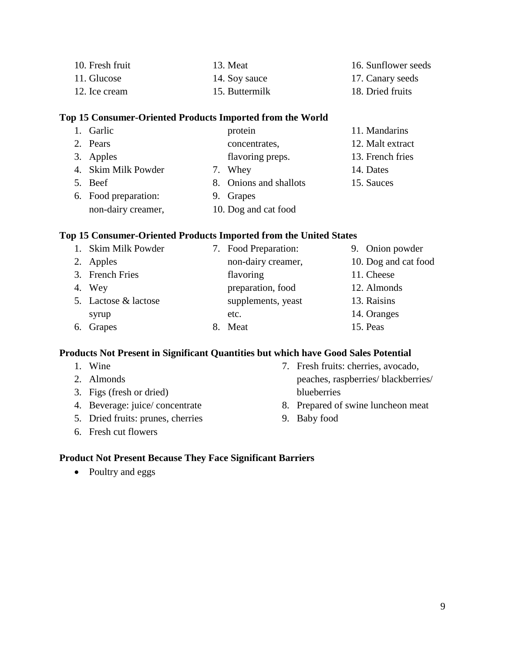| 10. Fresh fruit | 13. Meat       | 16. Sunflower seeds |
|-----------------|----------------|---------------------|
| 11. Glucose     | 14. Soy sauce  | 17. Canary seeds    |
| 12. Ice cream   | 15. Buttermilk | 18. Dried fruits    |

#### **Top 15 Consumer-Oriented Products Imported from the World**

| 1. Garlic            | protein                | 11. Mandarins    |
|----------------------|------------------------|------------------|
| 2. Pears             | concentrates,          | 12. Malt extract |
| 3. Apples            | flavoring preps.       | 13. French fries |
| 4. Skim Milk Powder  | 7. Whey                | 14. Dates        |
| 5. Beef              | 8. Onions and shallots | 15. Sauces       |
| 6. Food preparation: | 9. Grapes              |                  |
| non-dairy creamer,   | 10. Dog and cat food   |                  |

### **Top 15 Consumer-Oriented Products Imported from the United States**

| 1. Skim Milk Powder  | 7. Food Preparation: | 9. Onion powder      |
|----------------------|----------------------|----------------------|
| 2. Apples            | non-dairy creamer,   | 10. Dog and cat food |
| 3. French Fries      | flavoring            | 11. Cheese           |
| 4. Wey               | preparation, food    | 12. Almonds          |
| 5. Lactose & lactose | supplements, yeast   | 13. Raisins          |
| syrup                | etc.                 | 14. Oranges          |
| 6. Grapes            | 8. Meat              | 15. Peas             |

#### **Products Not Present in Significant Quantities but which have Good Sales Potential**

- 2. Almonds 3. Figs (fresh or dried) 4. Beverage: juice/ concentrate 5. Dried fruits: prunes, cherries 7. Fresh fruits: cherries, avocado, peaches, raspberries/ blackberries/ blueberries 8. Prepared of swine luncheon meat
	- 9. Baby food

6. Fresh cut flowers

1. Wine

## **Product Not Present Because They Face Significant Barriers**

• Poultry and eggs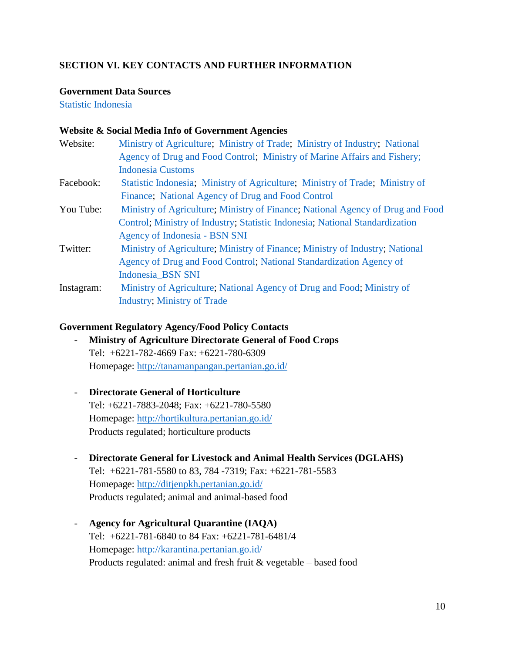# **SECTION VI. KEY CONTACTS AND FURTHER INFORMATION**

#### **Government Data Sources**

[Statistic Indonesia](https://www.bps.go.id/) 

#### **Website & Social Media Info of Government Agencies**

- Website: [Ministry of Agriculture;](http://www.pertanian.go.id/) [Ministry of Trade;](http://www.kemendag.go.id/id/economic-profile) [Ministry of Industry;](http://www.kemenperin.go.id/statistik/exim.php) [National](http://www.pom.go.id/new/index.php/home/en)  [Agency of Drug and Food Control;](http://www.pom.go.id/new/index.php/home/en) [Ministry of Marine Affairs and Fishery;](http://kkp.go.id/) [Indonesia Customs](http://www.beacukai.go.id/)
- Facebook: [Statistic Indonesia;](https://www.facebook.com/Badan-Pusat-Statistik-1394866840805957/) [Ministry of Agriculture;](https://www.facebook.com/kementanRI/) [Ministry of Trade;](https://id-id.facebook.com/Kementerian-Perdagangan-608925165792115/) [Ministry of](https://www.facebook.com/KemenkeuRI)  [Finance;](https://www.facebook.com/KemenkeuRI) [National Agency of Drug and Food Control](https://www.facebook.com/BadanPengawasObatdanMakananRI)
- You Tube: [Ministry of Agriculture;](https://www.youtube.com/channel/UC757MLmzhe5QXlr9yWyHcpQ) [Ministry of Finance;](https://www.youtube.com/user/portalKemenkeu) [National Agency of Drug and Food](https://www.youtube.com/channel/UC9BCzOkDqJEGikN1M11B0Iw)  [Control;](https://www.youtube.com/channel/UC9BCzOkDqJEGikN1M11B0Iw) [Ministry of Industry;](https://www.youtube.com/channel/UCO5bOHu52UDNG1q8im7YM8w) [Statistic Indonesia;](https://www.youtube.com/channel/UCn4IaaxHaaP-mAjZzrAtixA) [National Standardization](https://www.youtube.com/user/snibsn)  [Agency of Indonesia -](https://www.youtube.com/user/snibsn) BSN SNI
- Twitter: [Ministry of Agriculture;](https://twitter.com/kementan?lang=en) [Ministry of Finance;](https://twitter.com/KemenkeuRI) [Ministry of Industry;](https://twitter.com/Kemenperin_RI) [National](https://twitter.com/HaloBPOM1500533)  [Agency of Drug and Food Control;](https://twitter.com/HaloBPOM1500533) [National Standardization Agency of](https://twitter.com/BSN_SNI)  [Indonesia\\_BSN SNI](https://twitter.com/BSN_SNI)
- Instagram: [Ministry of Agriculture;](https://www.instagram.com/kementerianpertanian/) [National Agency of Drug and Food;](https://www.instagram.com/bpom_ri/) [Ministry of](https://www.instagram.com/kemenperin_ri/)  [Industry;](https://www.instagram.com/kemenperin_ri/) [Ministry of Trade](https://www.instagram.com/kemendag/)

#### **Government Regulatory Agency/Food Policy Contacts**

- **Ministry of Agriculture Directorate General of Food Crops** Tel: +6221-782-4669 Fax: +6221-780-6309 Homepage:<http://tanamanpangan.pertanian.go.id/>
- **Directorate General of Horticulture** Tel: +6221-7883-2048; Fax: +6221-780-5580 Homepage:<http://hortikultura.pertanian.go.id/> Products regulated; horticulture products
- **Directorate General for Livestock and Animal Health Services (DGLAHS)** Tel: +6221-781-5580 to 83, 784 -7319; Fax: +6221-781-5583 Homepage:<http://ditjenpkh.pertanian.go.id/> Products regulated; animal and animal-based food
- **Agency for Agricultural Quarantine (IAQA)** Tel: +6221-781-6840 to 84 Fax: +6221-781-6481/4 Homepage:<http://karantina.pertanian.go.id/> Products regulated: animal and fresh fruit  $&$  vegetable – based food